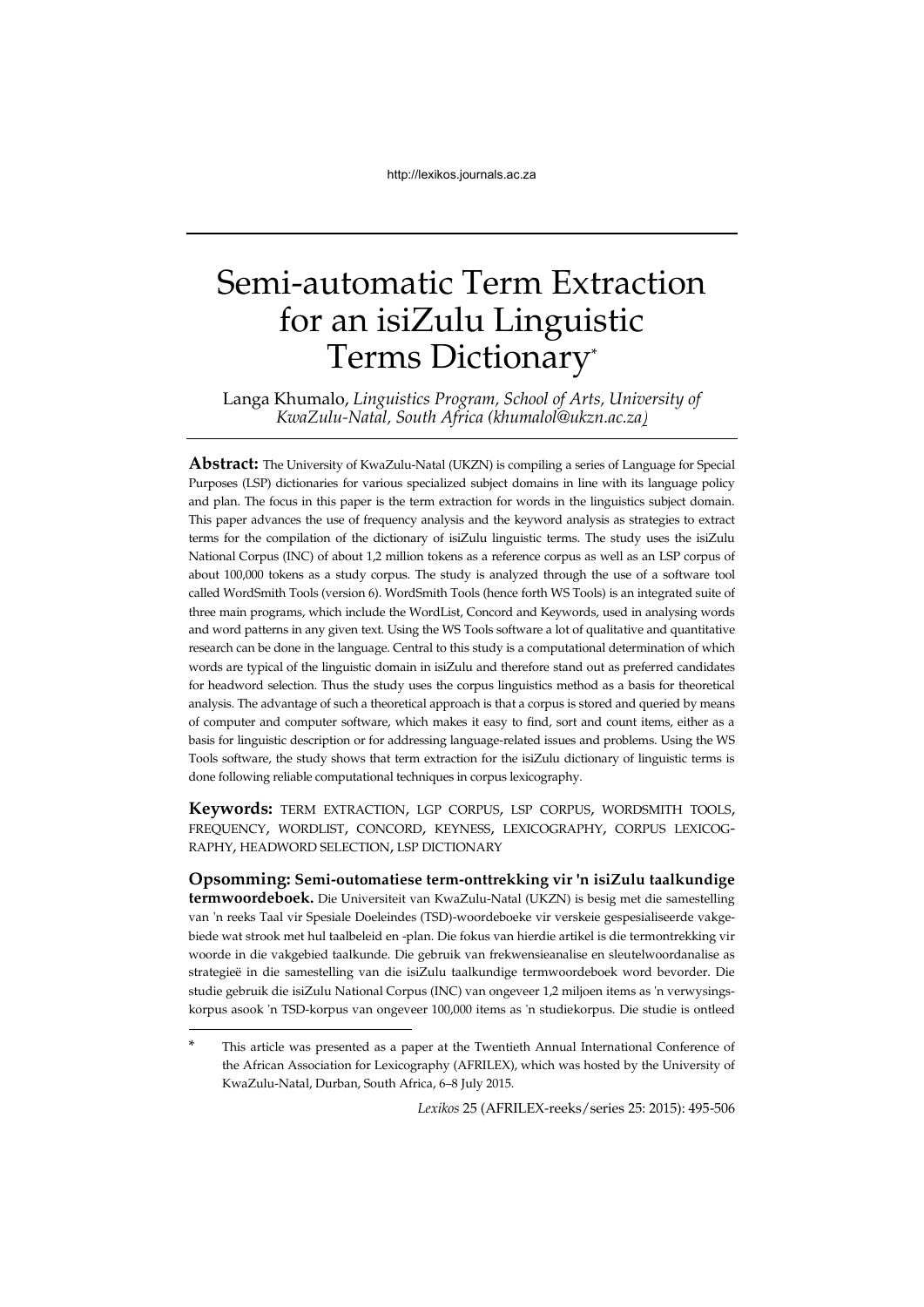# Semi-automatic Term Extraction for an isiZulu Linguistic Terms Dictionary\*

Langa Khumalo, *Linguistics Program, School of Arts, University of KwaZulu-Natal, South Africa (khumalol@ukzn.ac.za)*

**Abstract:** The University of KwaZulu-Natal (UKZN) is compiling a series of Language for Special Purposes (LSP) dictionaries for various specialized subject domains in line with its language policy and plan. The focus in this paper is the term extraction for words in the linguistics subject domain. This paper advances the use of frequency analysis and the keyword analysis as strategies to extract terms for the compilation of the dictionary of isiZulu linguistic terms. The study uses the isiZulu National Corpus (INC) of about 1,2 million tokens as a reference corpus as well as an LSP corpus of about 100,000 tokens as a study corpus. The study is analyzed through the use of a software tool called WordSmith Tools (version 6). WordSmith Tools (hence forth WS Tools) is an integrated suite of three main programs, which include the WordList, Concord and Keywords, used in analysing words and word patterns in any given text. Using the WS Tools software a lot of qualitative and quantitative research can be done in the language. Central to this study is a computational determination of which words are typical of the linguistic domain in isiZulu and therefore stand out as preferred candidates for headword selection. Thus the study uses the corpus linguistics method as a basis for theoretical analysis. The advantage of such a theoretical approach is that a corpus is stored and queried by means of computer and computer software, which makes it easy to find, sort and count items, either as a basis for linguistic description or for addressing language-related issues and problems. Using the WS Tools software, the study shows that term extraction for the isiZulu dictionary of linguistic terms is done following reliable computational techniques in corpus lexicography.

**Keywords:** TERM EXTRACTION, LGP CORPUS, LSP CORPUS, WORDSMITH TOOLS, FREQUENCY, WORDLIST, CONCORD, KEYNESS, LEXICOGRAPHY, CORPUS LEXICOG-RAPHY, HEADWORD SELECTION, LSP DICTIONARY

**Opsomming: Semi-outomatiese term-onttrekking vir 'n isiZulu taalkundige termwoordeboek.** Die Universiteit van KwaZulu-Natal (UKZN) is besig met die samestelling van 'n reeks Taal vir Spesiale Doeleindes (TSD)-woordeboeke vir verskeie gespesialiseerde vakgebiede wat strook met hul taalbeleid en -plan. Die fokus van hierdie artikel is die termontrekking vir woorde in die vakgebied taalkunde. Die gebruik van frekwensieanalise en sleutelwoordanalise as strategieë in die samestelling van die isiZulu taalkundige termwoordeboek word bevorder. Die studie gebruik die isiZulu National Corpus (INC) van ongeveer 1,2 miljoen items as 'n verwysingskorpus asook 'n TSD-korpus van ongeveer 100,000 items as 'n studiekorpus. Die studie is ontleed

-

*Lexikos* 25 (AFRILEX-reeks/series 25: 2015): 495-506

This article was presented as a paper at the Twentieth Annual International Conference of the African Association for Lexicography (AFRILEX), which was hosted by the University of KwaZulu-Natal, Durban, South Africa, 6–8 July 2015.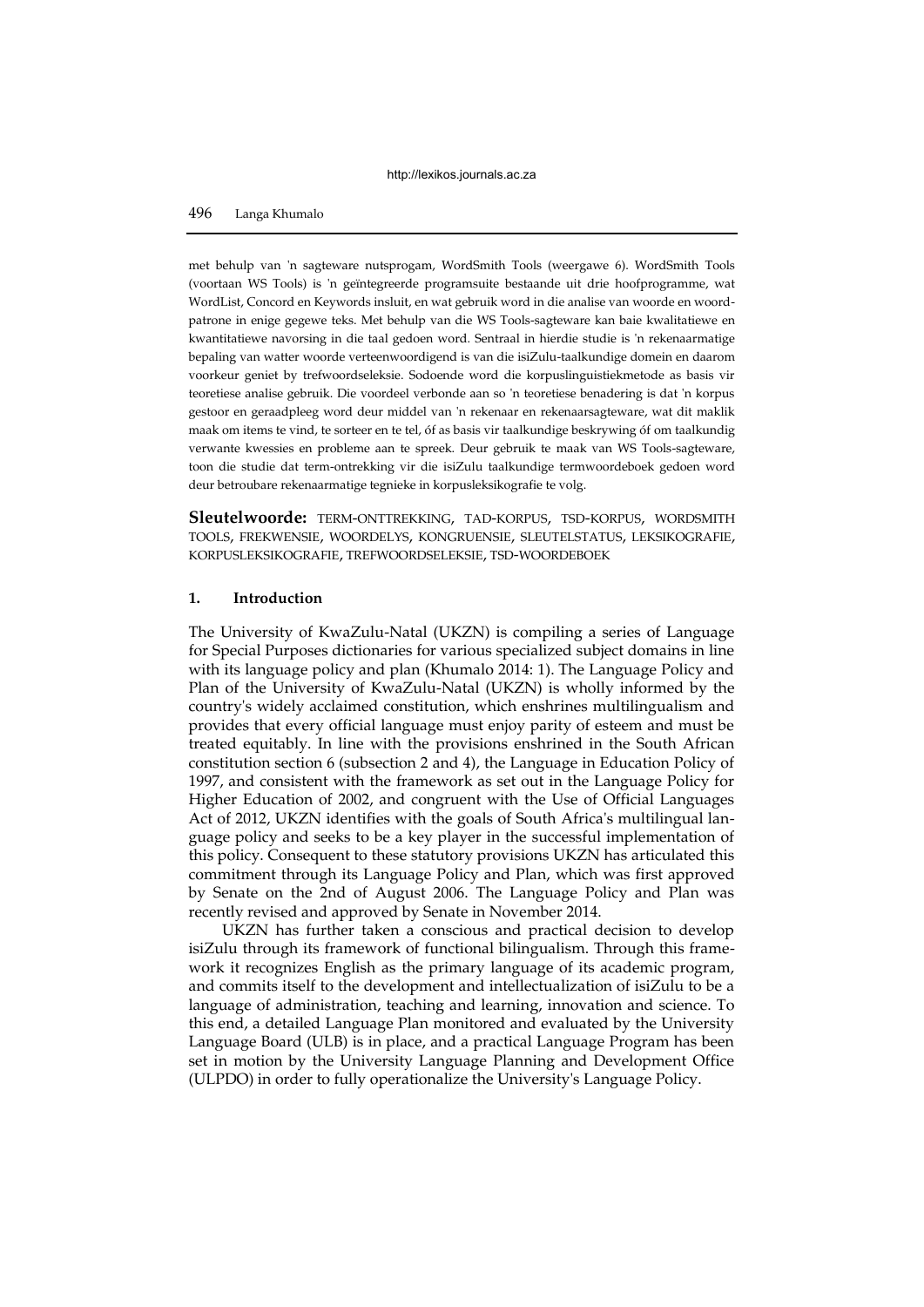met behulp van 'n sagteware nutsprogam, WordSmith Tools (weergawe 6). WordSmith Tools (voortaan WS Tools) is 'n geïntegreerde programsuite bestaande uit drie hoofprogramme, wat WordList, Concord en Keywords insluit, en wat gebruik word in die analise van woorde en woordpatrone in enige gegewe teks. Met behulp van die WS Tools-sagteware kan baie kwalitatiewe en kwantitatiewe navorsing in die taal gedoen word. Sentraal in hierdie studie is 'n rekenaarmatige bepaling van watter woorde verteenwoordigend is van die isiZulu-taalkundige domein en daarom voorkeur geniet by trefwoordseleksie. Sodoende word die korpuslinguistiekmetode as basis vir teoretiese analise gebruik. Die voordeel verbonde aan so 'n teoretiese benadering is dat 'n korpus gestoor en geraadpleeg word deur middel van 'n rekenaar en rekenaarsagteware, wat dit maklik maak om items te vind, te sorteer en te tel, óf as basis vir taalkundige beskrywing óf om taalkundig verwante kwessies en probleme aan te spreek. Deur gebruik te maak van WS Tools-sagteware, toon die studie dat term-ontrekking vir die isiZulu taalkundige termwoordeboek gedoen word deur betroubare rekenaarmatige tegnieke in korpusleksikografie te volg.

**Sleutelwoorde:** TERM-ONTTREKKING, TAD-KORPUS, TSD-KORPUS, WORDSMITH TOOLS, FREKWENSIE, WOORDELYS, KONGRUENSIE, SLEUTELSTATUS, LEKSIKOGRAFIE, KORPUSLEKSIKOGRAFIE, TREFWOORDSELEKSIE, TSD-WOORDEBOEK

### **1. Introduction**

The University of KwaZulu-Natal (UKZN) is compiling a series of Language for Special Purposes dictionaries for various specialized subject domains in line with its language policy and plan (Khumalo 2014: 1). The Language Policy and Plan of the University of KwaZulu-Natal (UKZN) is wholly informed by the country's widely acclaimed constitution, which enshrines multilingualism and provides that every official language must enjoy parity of esteem and must be treated equitably. In line with the provisions enshrined in the South African constitution section 6 (subsection 2 and 4), the Language in Education Policy of 1997, and consistent with the framework as set out in the Language Policy for Higher Education of 2002, and congruent with the Use of Official Languages Act of 2012, UKZN identifies with the goals of South Africa's multilingual language policy and seeks to be a key player in the successful implementation of this policy. Consequent to these statutory provisions UKZN has articulated this commitment through its Language Policy and Plan, which was first approved by Senate on the 2nd of August 2006. The Language Policy and Plan was recently revised and approved by Senate in November 2014.

UKZN has further taken a conscious and practical decision to develop isiZulu through its framework of functional bilingualism. Through this framework it recognizes English as the primary language of its academic program, and commits itself to the development and intellectualization of isiZulu to be a language of administration, teaching and learning, innovation and science. To this end, a detailed Language Plan monitored and evaluated by the University Language Board (ULB) is in place, and a practical Language Program has been set in motion by the University Language Planning and Development Office (ULPDO) in order to fully operationalize the University's Language Policy.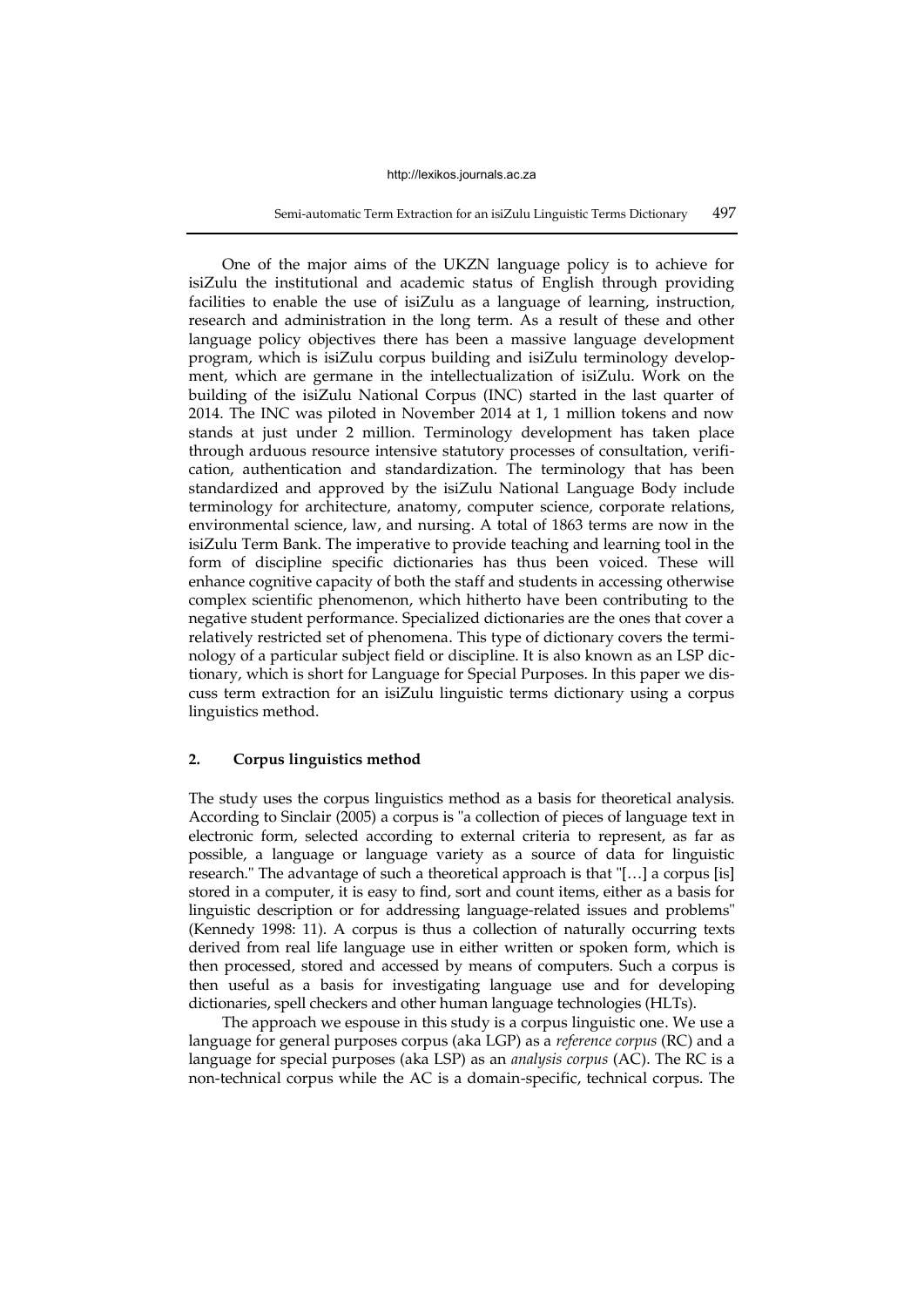Semi-automatic Term Extraction for an isiZulu Linguistic Terms Dictionary 497

One of the major aims of the UKZN language policy is to achieve for isiZulu the institutional and academic status of English through providing facilities to enable the use of isiZulu as a language of learning, instruction, research and administration in the long term. As a result of these and other language policy objectives there has been a massive language development program, which is isiZulu corpus building and isiZulu terminology development, which are germane in the intellectualization of isiZulu. Work on the building of the isiZulu National Corpus (INC) started in the last quarter of 2014. The INC was piloted in November 2014 at 1, 1 million tokens and now stands at just under 2 million. Terminology development has taken place through arduous resource intensive statutory processes of consultation, verification, authentication and standardization. The terminology that has been standardized and approved by the isiZulu National Language Body include terminology for architecture, anatomy, computer science, corporate relations, environmental science, law, and nursing. A total of 1863 terms are now in the isiZulu Term Bank. The imperative to provide teaching and learning tool in the form of discipline specific dictionaries has thus been voiced. These will enhance cognitive capacity of both the staff and students in accessing otherwise complex scientific phenomenon, which hitherto have been contributing to the negative student performance. Specialized dictionaries are the ones that cover a relatively restricted set of phenomena. This type of dictionary covers the terminology of a particular subject field or discipline. It is also known as an LSP dictionary, which is short for Language for Special Purposes. In this paper we discuss term extraction for an isiZulu linguistic terms dictionary using a corpus linguistics method.

## **2. Corpus linguistics method**

The study uses the corpus linguistics method as a basis for theoretical analysis. According to Sinclair (2005) a corpus is "a collection of pieces of language text in electronic form, selected according to external criteria to represent, as far as possible, a language or language variety as a source of data for linguistic research." The advantage of such a theoretical approach is that "[…] a corpus [is] stored in a computer, it is easy to find, sort and count items, either as a basis for linguistic description or for addressing language-related issues and problems" (Kennedy 1998: 11). A corpus is thus a collection of naturally occurring texts derived from real life language use in either written or spoken form, which is then processed, stored and accessed by means of computers. Such a corpus is then useful as a basis for investigating language use and for developing dictionaries, spell checkers and other human language technologies (HLTs).

The approach we espouse in this study is a corpus linguistic one. We use a language for general purposes corpus (aka LGP) as a *reference corpus* (RC) and a language for special purposes (aka LSP) as an *analysis corpus* (AC). The RC is a non-technical corpus while the AC is a domain-specific, technical corpus. The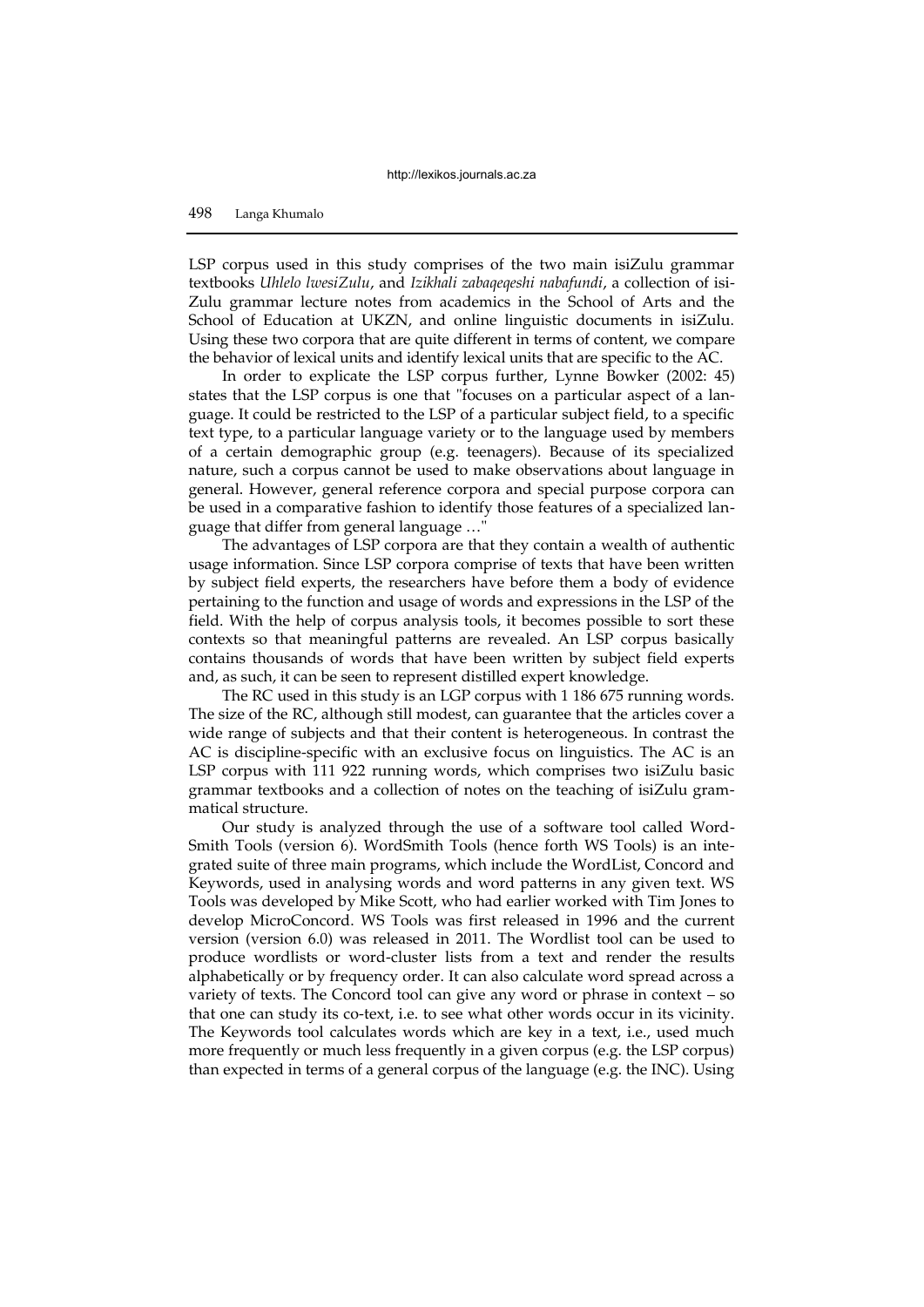LSP corpus used in this study comprises of the two main isiZulu grammar textbooks *Uhlelo lwesiZulu*, and *Izikhali zabaqeqeshi nabafundi*, a collection of isi-Zulu grammar lecture notes from academics in the School of Arts and the School of Education at UKZN, and online linguistic documents in isiZulu. Using these two corpora that are quite different in terms of content, we compare the behavior of lexical units and identify lexical units that are specific to the AC.

In order to explicate the LSP corpus further, Lynne Bowker (2002: 45) states that the LSP corpus is one that "focuses on a particular aspect of a language. It could be restricted to the LSP of a particular subject field, to a specific text type, to a particular language variety or to the language used by members of a certain demographic group (e.g. teenagers). Because of its specialized nature, such a corpus cannot be used to make observations about language in general. However, general reference corpora and special purpose corpora can be used in a comparative fashion to identify those features of a specialized language that differ from general language …"

The advantages of LSP corpora are that they contain a wealth of authentic usage information. Since LSP corpora comprise of texts that have been written by subject field experts, the researchers have before them a body of evidence pertaining to the function and usage of words and expressions in the LSP of the field. With the help of corpus analysis tools, it becomes possible to sort these contexts so that meaningful patterns are revealed. An LSP corpus basically contains thousands of words that have been written by subject field experts and, as such, it can be seen to represent distilled expert knowledge.

The RC used in this study is an LGP corpus with 1 186 675 running words. The size of the RC, although still modest, can guarantee that the articles cover a wide range of subjects and that their content is heterogeneous. In contrast the AC is discipline-specific with an exclusive focus on linguistics. The AC is an LSP corpus with 111 922 running words, which comprises two isiZulu basic grammar textbooks and a collection of notes on the teaching of isiZulu grammatical structure.

Our study is analyzed through the use of a software tool called Word-Smith Tools (version 6). WordSmith Tools (hence forth WS Tools) is an integrated suite of three main programs, which include the WordList, Concord and Keywords, used in analysing words and word patterns in any given text. WS Tools was developed by Mike Scott, who had earlier worked with Tim Jones to develop MicroConcord. WS Tools was first released in 1996 and the current version (version 6.0) was released in 2011. The Wordlist tool can be used to produce wordlists or word-cluster lists from a text and render the results alphabetically or by frequency order. It can also calculate word spread across a variety of texts. The Concord tool can give any word or phrase in context – so that one can study its co-text, i.e. to see what other words occur in its vicinity. The Keywords tool calculates words which are key in a text, i.e., used much more frequently or much less frequently in a given corpus (e.g. the LSP corpus) than expected in terms of a general corpus of the language (e.g. the INC). Using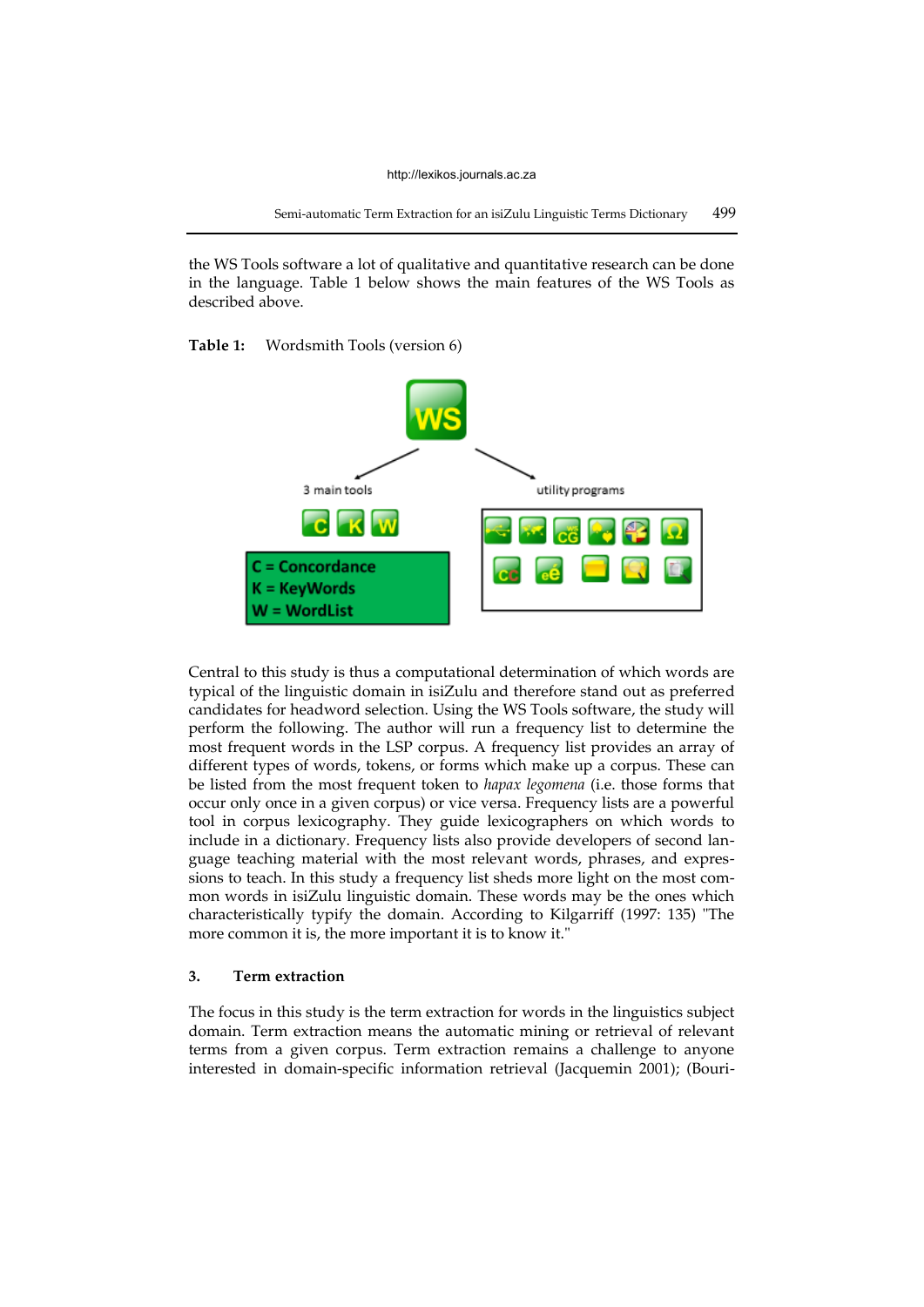the WS Tools software a lot of qualitative and quantitative research can be done in the language. Table 1 below shows the main features of the WS Tools as described above.

### **Table 1:** Wordsmith Tools (version 6)



Central to this study is thus a computational determination of which words are typical of the linguistic domain in isiZulu and therefore stand out as preferred candidates for headword selection. Using the WS Tools software, the study will perform the following. The author will run a frequency list to determine the most frequent words in the LSP corpus. A frequency list provides an array of different types of words, tokens, or forms which make up a corpus. These can be listed from the most frequent token to *hapax legomena* (i.e. those forms that occur only once in a given corpus) or vice versa. Frequency lists are a powerful tool in corpus lexicography. They guide lexicographers on which words to include in a dictionary. Frequency lists also provide developers of second language teaching material with the most relevant words, phrases, and expressions to teach. In this study a frequency list sheds more light on the most common words in isiZulu linguistic domain. These words may be the ones which characteristically typify the domain. According to Kilgarriff (1997: 135) "The more common it is, the more important it is to know it."

### **3. Term extraction**

The focus in this study is the term extraction for words in the linguistics subject domain. Term extraction means the automatic mining or retrieval of relevant terms from a given corpus. Term extraction remains a challenge to anyone interested in domain-specific information retrieval (Jacquemin 2001); (Bouri-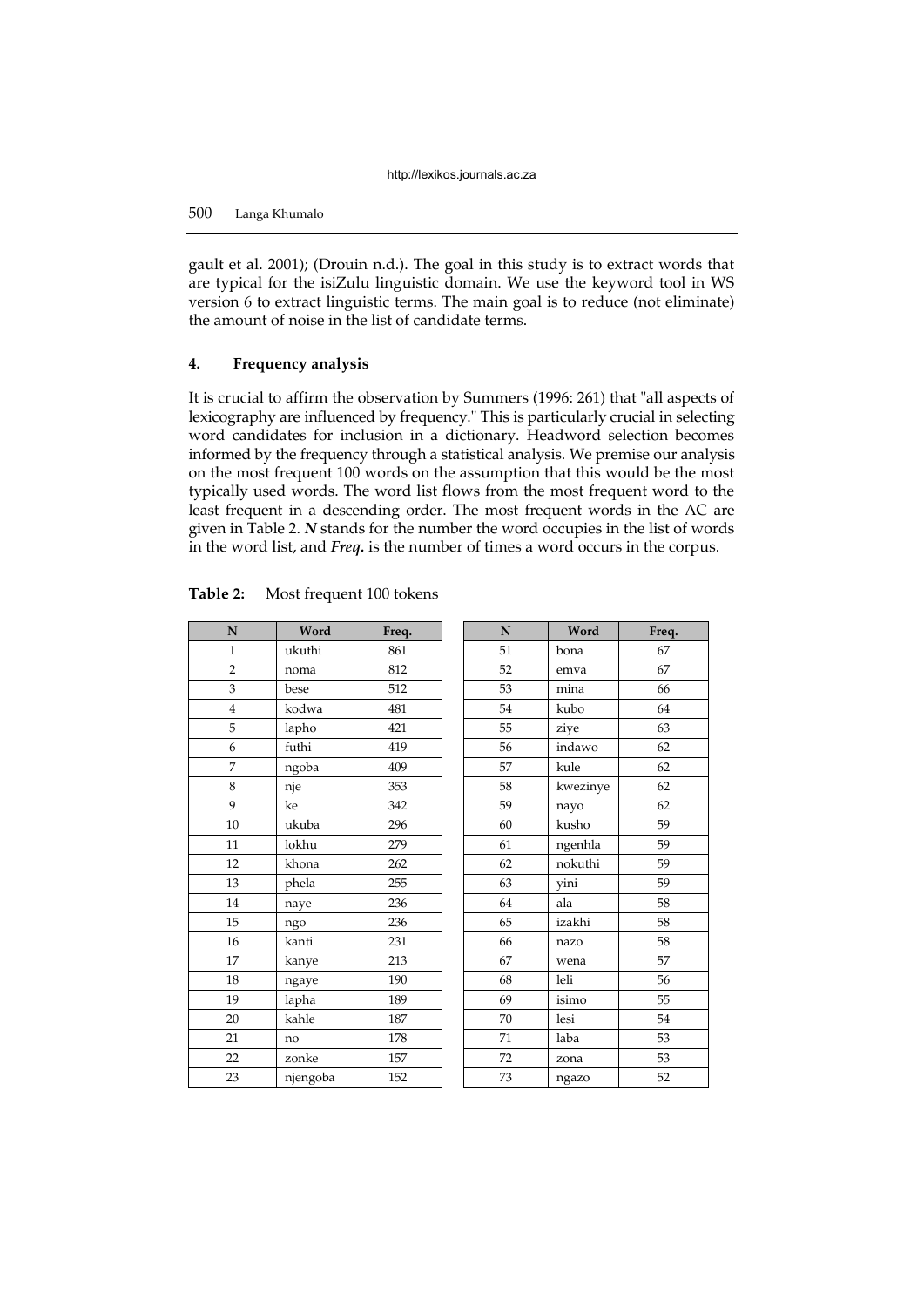gault et al. 2001); (Drouin n.d.). The goal in this study is to extract words that are typical for the isiZulu linguistic domain. We use the keyword tool in WS version 6 to extract linguistic terms. The main goal is to reduce (not eliminate) the amount of noise in the list of candidate terms.

# **4. Frequency analysis**

It is crucial to affirm the observation by Summers (1996: 261) that "all aspects of lexicography are influenced by frequency." This is particularly crucial in selecting word candidates for inclusion in a dictionary. Headword selection becomes informed by the frequency through a statistical analysis. We premise our analysis on the most frequent 100 words on the assumption that this would be the most typically used words. The word list flows from the most frequent word to the least frequent in a descending order. The most frequent words in the AC are given in Table 2. *N* stands for the number the word occupies in the list of words in the word list, and *Freq.* is the number of times a word occurs in the corpus.

| N              | Word     | Freq. | ${\bf N}$ | Word     | Fre |
|----------------|----------|-------|-----------|----------|-----|
| $\mathbf{1}$   | ukuthi   | 861   | 51        | bona     | 67  |
| $\overline{2}$ | noma     | 812   | 52        | emva     | 67  |
| 3              | bese     | 512   | 53        | mina     | 66  |
| $\overline{4}$ | kodwa    | 481   | 54        | kubo     | 64  |
| 5              | lapho    | 421   | 55        | ziye     | 63  |
| 6              | futhi    | 419   | 56        | indawo   | 62  |
| 7              | ngoba    | 409   | 57        | kule     | 62  |
| 8              | nje      | 353   | 58        | kwezinye | 62  |
| 9              | ke       | 342   | 59        | nayo     | 62  |
| 10             | ukuba    | 296   | 60        | kusho    | 59  |
| 11             | lokhu    | 279   | 61        | ngenhla  | 59  |
| 12             | khona    | 262   | 62        | nokuthi  | 59  |
| 13             | phela    | 255   | 63        | yini     | 59  |
| 14             | naye     | 236   | 64        | ala      | 58  |
| 15             | ngo      | 236   | 65        | izakhi   | 58  |
| 16             | kanti    | 231   | 66        | nazo     | 58  |
| 17             | kanye    | 213   | 67        | wena     | 57  |
| 18             | ngaye    | 190   | 68        | leli     | 56  |
| 19             | lapha    | 189   | 69        | isimo    | 55  |
| 20             | kahle    | 187   | 70        | lesi     | 54  |
| 21             | no       | 178   | 71        | laba     | 53  |
| 22             | zonke    | 157   | 72        | zona     | 53  |
| 23             | njengoba | 152   | 73        | ngazo    | 52  |

| N                | Word     | Freq. | N  | Word     | Freq. |
|------------------|----------|-------|----|----------|-------|
| $\mathbf{1}$     | ukuthi   | 861   | 51 | bona     | 67    |
| $\overline{2}$   | noma     | 812   | 52 | emva     | 67    |
| $\sqrt{3}$       | bese     | 512   | 53 | mina     | 66    |
| $\boldsymbol{4}$ | kodwa    | 481   | 54 | kubo     | 64    |
| $\overline{5}$   | lapho    | 421   | 55 | ziye     | 63    |
| $\boldsymbol{6}$ | futhi    | 419   | 56 | indawo   | 62    |
| $\overline{7}$   | ngoba    | 409   | 57 | kule     | 62    |
| $\,8\,$          | nje      | 353   | 58 | kwezinye | 62    |
| $\boldsymbol{9}$ | ke       | 342   | 59 | nayo     | 62    |
| 10               | ukuba    | 296   | 60 | kusho    | 59    |
| 11               | lokhu    | 279   | 61 | ngenhla  | 59    |
| 12               | khona    | 262   | 62 | nokuthi  | 59    |
| 13               | phela    | 255   | 63 | yini     | 59    |
| 14               | naye     | 236   | 64 | ala      | 58    |
| 15               | ngo      | 236   | 65 | izakhi   | 58    |
| 16               | kanti    | 231   | 66 | nazo     | 58    |
| 17               | kanye    | 213   | 67 | wena     | 57    |
| 18               | ngaye    | 190   | 68 | leli     | 56    |
| 19               | lapha    | 189   | 69 | isimo    | 55    |
| 20               | kahle    | 187   | 70 | lesi     | 54    |
| 21               | no       | 178   | 71 | laba     | 53    |
| $\overline{22}$  | zonke    | 157   | 72 | zona     | 53    |
| 23               | njengoba | 152   | 73 | ngazo    | 52    |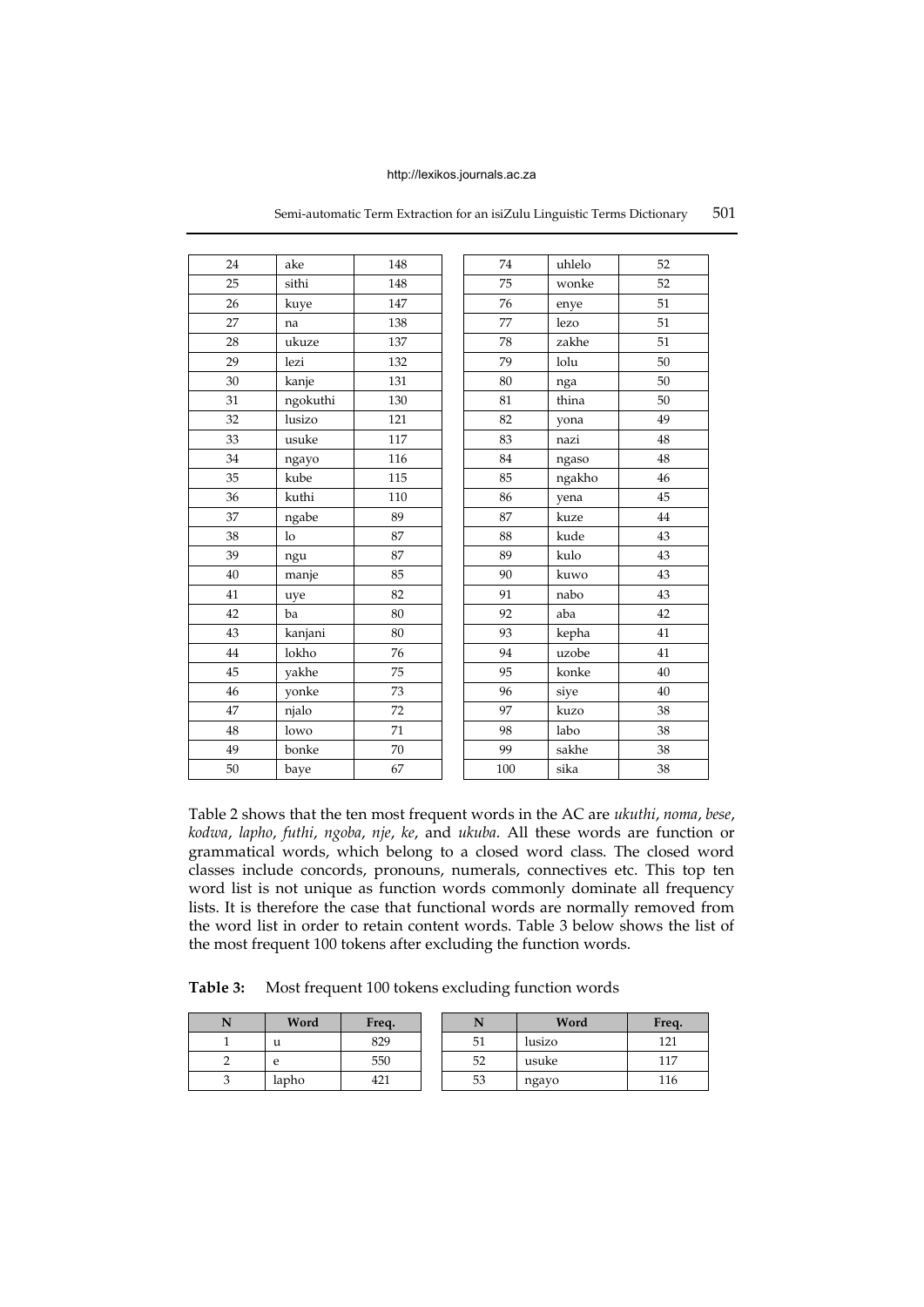| 24 | ake            | 148    | 74  | uhlelo | 52     |
|----|----------------|--------|-----|--------|--------|
| 25 | sithi          | 148    | 75  | wonke  | 52     |
| 26 | kuye           | 147    | 76  | enye   | 51     |
| 27 | na             | 138    | 77  | lezo   | 51     |
| 28 | ukuze          | 137    | 78  | zakhe  | 51     |
| 29 | lezi           | 132    | 79  | lolu   | 50     |
| 30 | kanje          | 131    | 80  | nga    | 50     |
| 31 | ngokuthi       | 130    | 81  | thina  | 50     |
| 32 | lusizo         | 121    | 82  | yona   | 49     |
| 33 | usuke          | 117    | 83  | nazi   | 48     |
| 34 | ngayo          | 116    | 84  | ngaso  | 48     |
| 35 | kube           | 115    | 85  | ngakho | $46\,$ |
| 36 | kuthi          | 110    | 86  | yena   | 45     |
| 37 | ngabe          | 89     | 87  | kuze   | 44     |
| 38 | 1 <sub>o</sub> | 87     | 88  | kude   | 43     |
| 39 | ngu            | 87     | 89  | kulo   | 43     |
| 40 | manje          | 85     | 90  | kuwo   | 43     |
| 41 | uye            | 82     | 91  | nabo   | 43     |
| 42 | ba             | 80     | 92  | aba    | 42     |
| 43 | kanjani        | 80     | 93  | kepha  | 41     |
| 44 | lokho          | 76     | 94  | uzobe  | 41     |
| 45 | yakhe          | 75     | 95  | konke  | $40\,$ |
| 46 | yonke          | 73     | 96  | siye   | $40\,$ |
| 47 | njalo          | 72     | 97  | kuzo   | 38     |
| 48 | lowo           | 71     | 98  | labo   | 38     |
| 49 | bonke          | $70\,$ | 99  | sakhe  | $38\,$ |
| 50 | baye           | 67     | 100 | sika   | 38     |

Semi-automatic Term Extraction for an isiZulu Linguistic Terms Dictionary 501

Table 2 shows that the ten most frequent words in the AC are *ukuthi*, *noma*, *bese*, *kodwa*, *lapho*, *futhi*, *ngoba*, *nje*, *ke*, and *ukuba*. All these words are function or grammatical words, which belong to a closed word class. The closed word classes include concords, pronouns, numerals, connectives etc. This top ten word list is not unique as function words commonly dominate all frequency lists. It is therefore the case that functional words are normally removed from the word list in order to retain content words. Table 3 below shows the list of the most frequent 100 tokens after excluding the function words.

**Table 3:** Most frequent 100 tokens excluding function words

| Word  | Freq. |    | Word   | Freq. |
|-------|-------|----|--------|-------|
| u     | 829   | 51 | lusizo | 121   |
| e     | 550   | 52 | usuke  | 117   |
| lapho | 421   | 53 | ngayo  | 116   |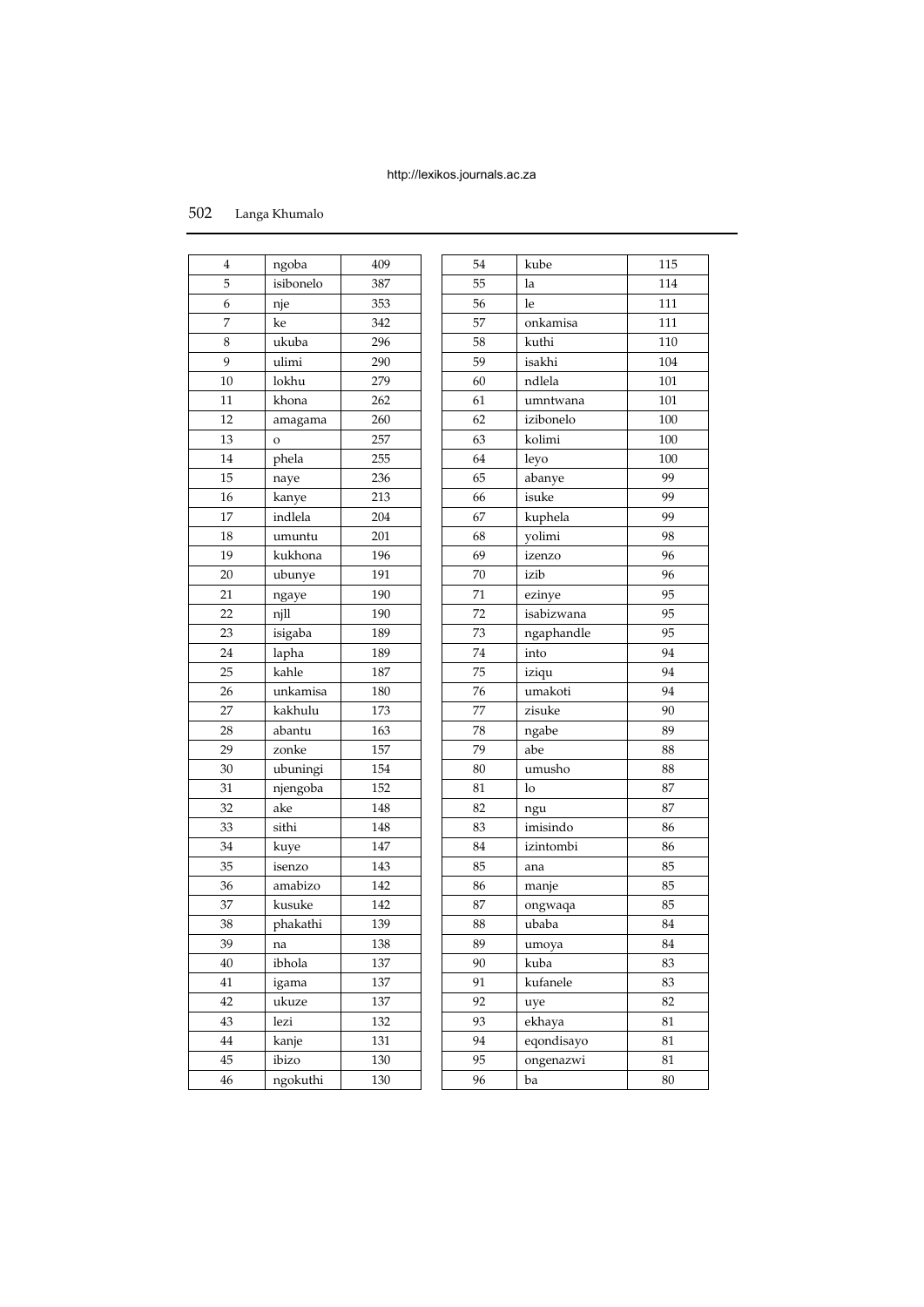| 502     | Langa Khumalo      |     |    |            |     |
|---------|--------------------|-----|----|------------|-----|
| 4       |                    | 409 | 54 | kube       | 115 |
| 5       | ngoba<br>isibonelo | 387 |    |            |     |
|         |                    |     | 55 | la         | 114 |
| 6       | nje                | 353 | 56 | le         | 111 |
| 7       | ke                 | 342 | 57 | onkamisa   | 111 |
| $\,8\,$ | ukuba              | 296 | 58 | kuthi      | 110 |
| 9       | ulimi              | 290 | 59 | isakhi     | 104 |
| 10      | lokhu              | 279 | 60 | ndlela     | 101 |
| 11      | khona              | 262 | 61 | umntwana   | 101 |
| 12      | amagama            | 260 | 62 | izibonelo  | 100 |
| 13      | $\mathbf{o}$       | 257 | 63 | kolimi     | 100 |
| 14      | phela              | 255 | 64 | leyo       | 100 |
| 15      | naye               | 236 | 65 | abanye     | 99  |
| 16      | kanye              | 213 | 66 | isuke      | 99  |
| 17      | indlela            | 204 | 67 | kuphela    | 99  |
| 18      | umuntu             | 201 | 68 | yolimi     | 98  |
| 19      | kukhona            | 196 | 69 | izenzo     | 96  |
| 20      | ubunye             | 191 | 70 | izib       | 96  |
| $21\,$  | ngaye              | 190 | 71 | ezinye     | 95  |
| 22      | njll               | 190 | 72 | isabizwana | 95  |
| 23      | isigaba            | 189 | 73 | ngaphandle | 95  |
| 24      | lapha              | 189 | 74 | into       | 94  |
| 25      | kahle              | 187 | 75 | iziqu      | 94  |
| 26      | unkamisa           | 180 | 76 | umakoti    | 94  |
| 27      | kakhulu            | 173 | 77 | zisuke     | 90  |
| 28      | abantu             | 163 | 78 | ngabe      | 89  |
| 29      | zonke              | 157 | 79 | abe        | 88  |
| $30\,$  | ubuningi           | 154 | 80 | umusho     | 88  |
| 31      | njengoba           | 152 | 81 | lo         | 87  |
| 32      | ake                | 148 | 82 | ngu        | 87  |
| 33      | sithi              | 148 | 83 | imisindo   | 86  |
| 34      | kuye               | 147 | 84 | izintombi  | 86  |
| 35      | isenzo             | 143 | 85 | ana        | 85  |
| 36      | amabizo            | 142 | 86 | manje      | 85  |
| 37      | kusuke             | 142 | 87 | ongwaqa    | 85  |
| 38      | phakathi           | 139 | 88 | ubaba      | 84  |
| 39      | na                 | 138 | 89 | umoya      | 84  |
| 40      | ibhola             | 137 | 90 | kuba       | 83  |
| 41      | igama              | 137 | 91 | kufanele   | 83  |
| 42      | ukuze              | 137 | 92 | uye        | 82  |
| 43      | lezi               | 132 | 93 | ekhaya     | 81  |
| 44      | kanje              | 131 | 94 | eqondisayo | 81  |
| 45      | ibizo              | 130 | 95 | ongenazwi  | 81  |
| 46      | ngokuthi           | 130 | 96 | ba         | 80  |
|         |                    |     |    |            |     |

| $\overline{4}$  | ngoba     | 409 | 54 | kube       | 115 |
|-----------------|-----------|-----|----|------------|-----|
| $\sqrt{5}$      | isibonelo | 387 | 55 | la         | 114 |
| 6               | nje       | 353 | 56 | le         | 111 |
| $\overline{7}$  | ke        | 342 | 57 | onkamisa   | 111 |
| 8               | ukuba     | 296 | 58 | kuthi      | 110 |
| 9               | ulimi     | 290 | 59 | isakhi     | 104 |
| 10              | lokhu     | 279 | 60 | ndlela     | 101 |
| 11              | khona     | 262 | 61 | umntwana   | 101 |
| 12              | amagama   | 260 | 62 | izibonelo  | 100 |
| 13              | O         | 257 | 63 | kolimi     | 100 |
| 14              | phela     | 255 | 64 | leyo       | 100 |
| 15              | naye      | 236 | 65 | abanye     | 99  |
| 16              | kanye     | 213 | 66 | isuke      | 99  |
| 17              | indlela   | 204 | 67 | kuphela    | 99  |
| 18              | umuntu    | 201 | 68 | yolimi     | 98  |
| 19              | kukhona   | 196 | 69 | izenzo     | 96  |
| 20              | ubunye    | 191 | 70 | izib       | 96  |
| 21              | ngaye     | 190 | 71 | ezinye     | 95  |
| $\overline{22}$ | njll      | 190 | 72 | isabizwana | 95  |
| 23              | isigaba   | 189 | 73 | ngaphandle | 95  |
| 24              | lapha     | 189 | 74 | into       | 94  |
| 25              | kahle     | 187 | 75 | iziqu      | 94  |
| 26              | unkamisa  | 180 | 76 | umakoti    | 94  |
| 27              | kakhulu   | 173 | 77 | zisuke     | 90  |
| 28              | abantu    | 163 | 78 | ngabe      | 89  |
| 29              | zonke     | 157 | 79 | abe        | 88  |
| 30              | ubuningi  | 154 | 80 | umusho     | 88  |
| 31              | njengoba  | 152 | 81 | lo         | 87  |
| 32              | ake       | 148 | 82 | ngu        | 87  |
| 33              | sithi     | 148 | 83 | imisindo   | 86  |
| 34              | kuye      | 147 | 84 | izintombi  | 86  |
| 35              | isenzo    | 143 | 85 | ana        | 85  |
| 36              | amabizo   | 142 | 86 | manje      | 85  |
| 37              | kusuke    | 142 | 87 | ongwaqa    | 85  |
| 38              | phakathi  | 139 | 88 | ubaba      | 84  |
| 39              | na        | 138 | 89 | umoya      | 84  |
| 40              | ibhola    | 137 | 90 | kuba       | 83  |
| 41              | igama     | 137 | 91 | kufanele   | 83  |
| 42              | ukuze     | 137 | 92 | uye        | 82  |
| 43              | lezi      | 132 | 93 | ekhaya     | 81  |
| 44              | kanje     | 131 | 94 | eqondisayo | 81  |
| 45              | ibizo     | 130 | 95 | ongenazwi  | 81  |
| 46              | ngokuthi  | 130 | 96 | ba         | 80  |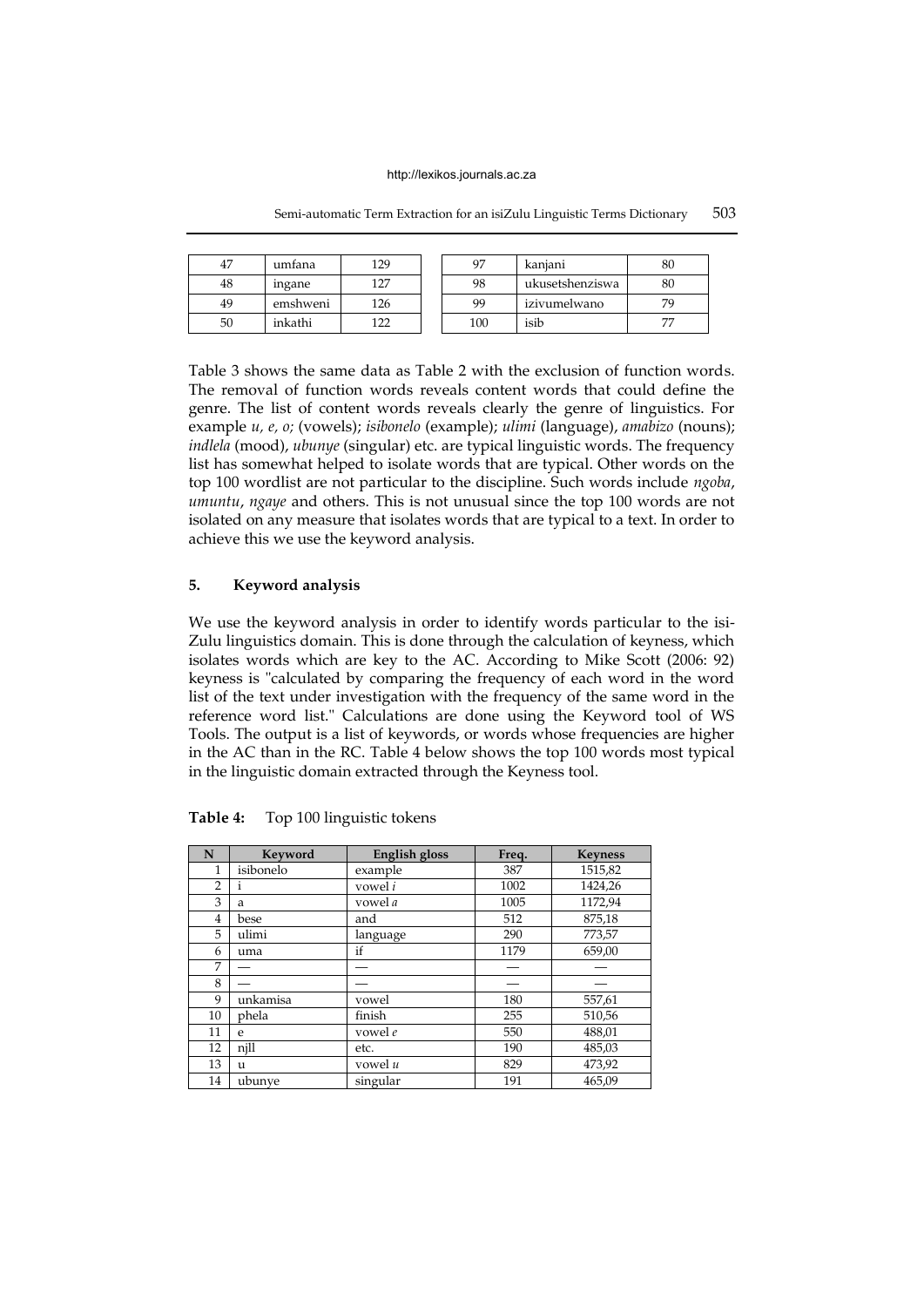| 47 | umfana   | 129 | 97  | kaniani         | 80 |
|----|----------|-----|-----|-----------------|----|
|    |          |     |     |                 |    |
| 48 | ingane   | 127 | 98  | ukusetshenziswa | 80 |
| 49 | emshweni | 126 | 99  | izivumelwano    | 70 |
| 50 | inkathi  | 122 | 100 | isib            | 77 |

Semi-automatic Term Extraction for an isiZulu Linguistic Terms Dictionary 503

Table 3 shows the same data as Table 2 with the exclusion of function words. The removal of function words reveals content words that could define the genre. The list of content words reveals clearly the genre of linguistics. For example *u, e, o;* (vowels); *isibonelo* (example); *ulimi* (language), *amabizo* (nouns); *indlela* (mood), *ubunye* (singular) etc. are typical linguistic words. The frequency list has somewhat helped to isolate words that are typical. Other words on the top 100 wordlist are not particular to the discipline. Such words include *ngoba*, *umuntu*, *ngaye* and others. This is not unusual since the top 100 words are not isolated on any measure that isolates words that are typical to a text. In order to achieve this we use the keyword analysis.

# **5. Keyword analysis**

We use the keyword analysis in order to identify words particular to the isi-Zulu linguistics domain. This is done through the calculation of keyness, which isolates words which are key to the AC. According to Mike Scott (2006: 92) keyness is "calculated by comparing the frequency of each word in the word list of the text under investigation with the frequency of the same word in the reference word list." Calculations are done using the Keyword tool of WS Tools. The output is a list of keywords, or words whose frequencies are higher in the AC than in the RC. Table 4 below shows the top 100 words most typical in the linguistic domain extracted through the Keyness tool.

| N              | Keyword      | English gloss | Freq. | <b>Keyness</b> |
|----------------|--------------|---------------|-------|----------------|
| 1              | isibonelo    | example       | 387   | 1515,82        |
| $\overline{2}$ | $\mathbf{i}$ | vowel i       | 1002  | 1424,26        |
| 3              | a            | vowel a       | 1005  | 1172,94        |
| 4              | bese         | and           | 512   | 875,18         |
| 5              | ulimi        | language      | 290   | 773,57         |
| 6              | uma          | if            | 1179  | 659,00         |
| 7              |              |               |       |                |
| 8              |              |               |       |                |
| 9              | unkamisa     | vowel         | 180   | 557,61         |
| 10             | phela        | finish        | 255   | 510,56         |
| 11             | e            | vowel e       | 550   | 488,01         |
| 12             | njll         | etc.          | 190   | 485,03         |
| 13             | u            | vowel u       | 829   | 473,92         |
| 14             | ubunye       | singular      | 191   | 465.09         |

**Table 4:** Top 100 linguistic tokens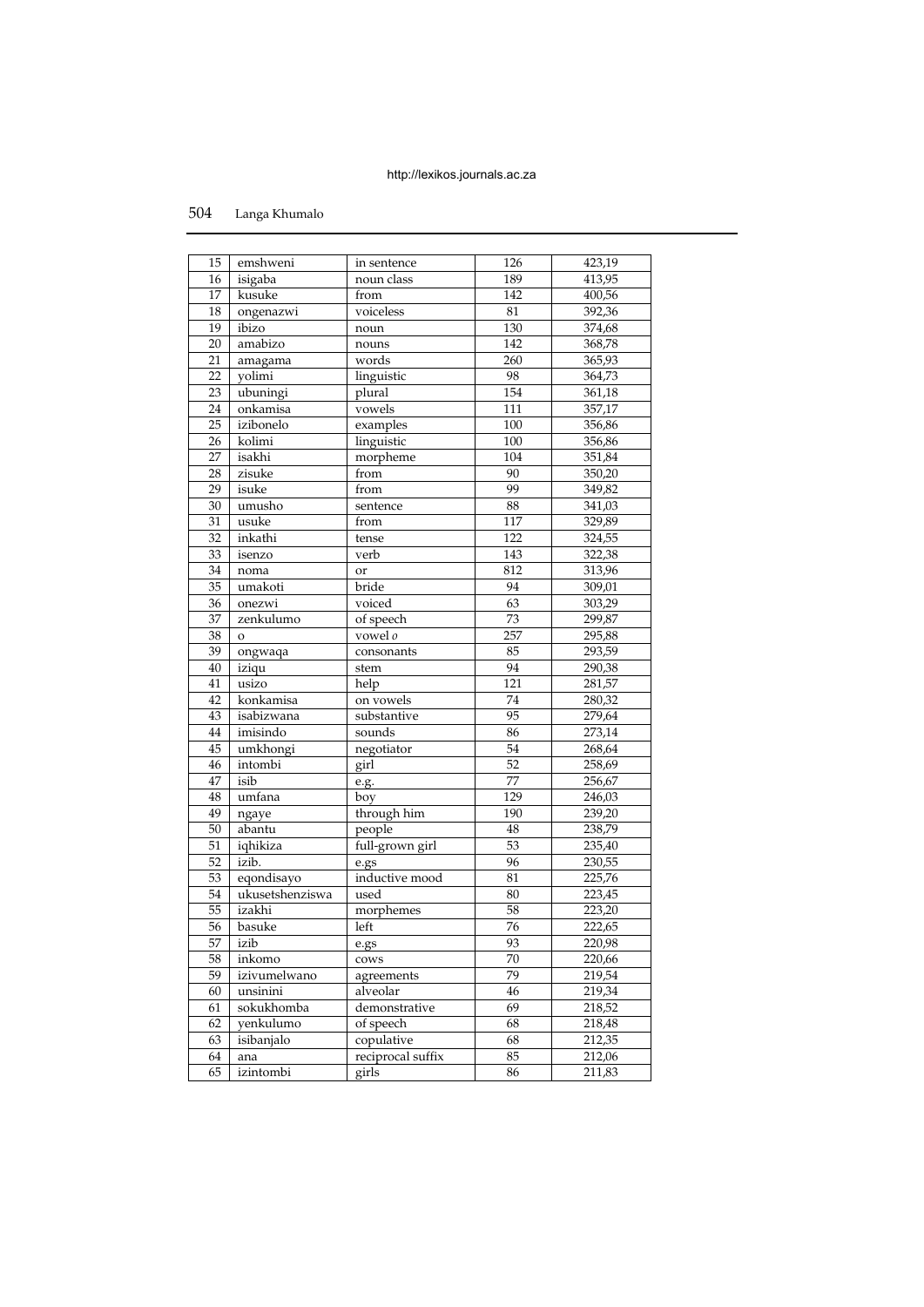# Langa Khumalo

| 15              | emshweni            | in sentence       | 126        | 423,19           |
|-----------------|---------------------|-------------------|------------|------------------|
| 16              | isigaba             | noun class        | 189        | 413,95           |
| 17              | kusuke              | from              | 142        | 400,56           |
| 18              | ongenazwi           | voiceless         | 81         | 392,36           |
| 19              | ibizo               | noun              | 130        | 374,68           |
| 20              | amabizo             | nouns             | 142        | 368,78           |
| 21              | amagama             | words             | 260        | 365,93           |
| 22              | yolimi              | linguistic        | 98         | 364,73           |
| 23              | ubuningi            | plural            | 154        | 361,18           |
| 24              | onkamisa            | vowels            | 111        | 357,17           |
| 25              | izibonelo           | examples          | 100        | 356,86           |
| 26              | kolimi              | linguistic        | 100        | 356,86           |
| 27              | isakhi              | morpheme          | 104        | 351,84           |
| 28              | zisuke              | from              | 90         | 350,20           |
| 29              | isuke               | from              | 99         | 349,82           |
| 30              | umusho              |                   | 88         | 341,03           |
| 31              | usuke               | sentence<br>from  | 117        | 329,89           |
| 32              | inkathi             |                   | 122        | 324,55           |
| 33              |                     | tense<br>verb     |            |                  |
| 34              | isenzo              |                   | 143<br>812 | 322,38<br>313,96 |
|                 | noma                | or                |            |                  |
| 35              | umakoti             | bride             | 94<br>63   | 309,01           |
| 36              | onezwi<br>zenkulumo | voiced            |            | 303,29           |
| 37              |                     | of speech         | 73         | 299,87           |
| 38              | $\mathbf{o}$        | vowel o           | 257        | 295,88           |
| 39              | ongwaqa             | consonants        | 85<br>94   | 293,59           |
| 40              | iziqu               | stem              |            | 290,38           |
| 41              | usizo               | help              | 121        | 281,57           |
| 42              | konkamisa           | on vowels         | 74         | 280,32           |
| 43              | isabizwana          | substantive       | 95         | 279,64           |
| 44              | imisindo            | sounds            | 86         | 273,14           |
| 45              | umkhongi            | negotiator        | 54         | 268,64           |
| 46              | intombi             | girl              | 52         | 258,69           |
| 47              | isib                | e.g.              | 77         | 256,67           |
| 48              | umfana              | boy               | 129        | 246,03           |
| 49              | ngaye               | through him       | 190        | 239,20           |
| 50              | abantu              | people            | $48\,$     | 238,79           |
| $\overline{51}$ | iqhikiza            | full-grown girl   | 53         | 235,40           |
| $\overline{52}$ | izib.               | e.gs              | 96         | 230,55           |
| 53              | eqondisayo          | inductive mood    | 81         | 225,76           |
| 54              | ukusetshenziswa     | used              | 80         | 223,45           |
| 55              | izakhi              | morphemes         | 58         | 223,20           |
| 56              | basuke              | left              | 76         | 222,65           |
| 57              | izib                | e.gs              | 93         | 220,98           |
| 58              | inkomo              | cows              | 70         | 220,66           |
| 59              | izivumelwano        | agreements        | 79         | 219,54           |
| 60              | unsinini            | alveolar          | 46         | 219,34           |
| 61              | sokukhomba          | demonstrative     | 69         | 218,52           |
| 62              | yenkulumo           | of speech         | 68         | 218,48           |
| 63              | isibanjalo          | copulative        | 68         | 212,35           |
| 64              | ana                 | reciprocal suffix | 85         | 212,06           |
| 65              | izintombi           | girls             | 86         | 211,83           |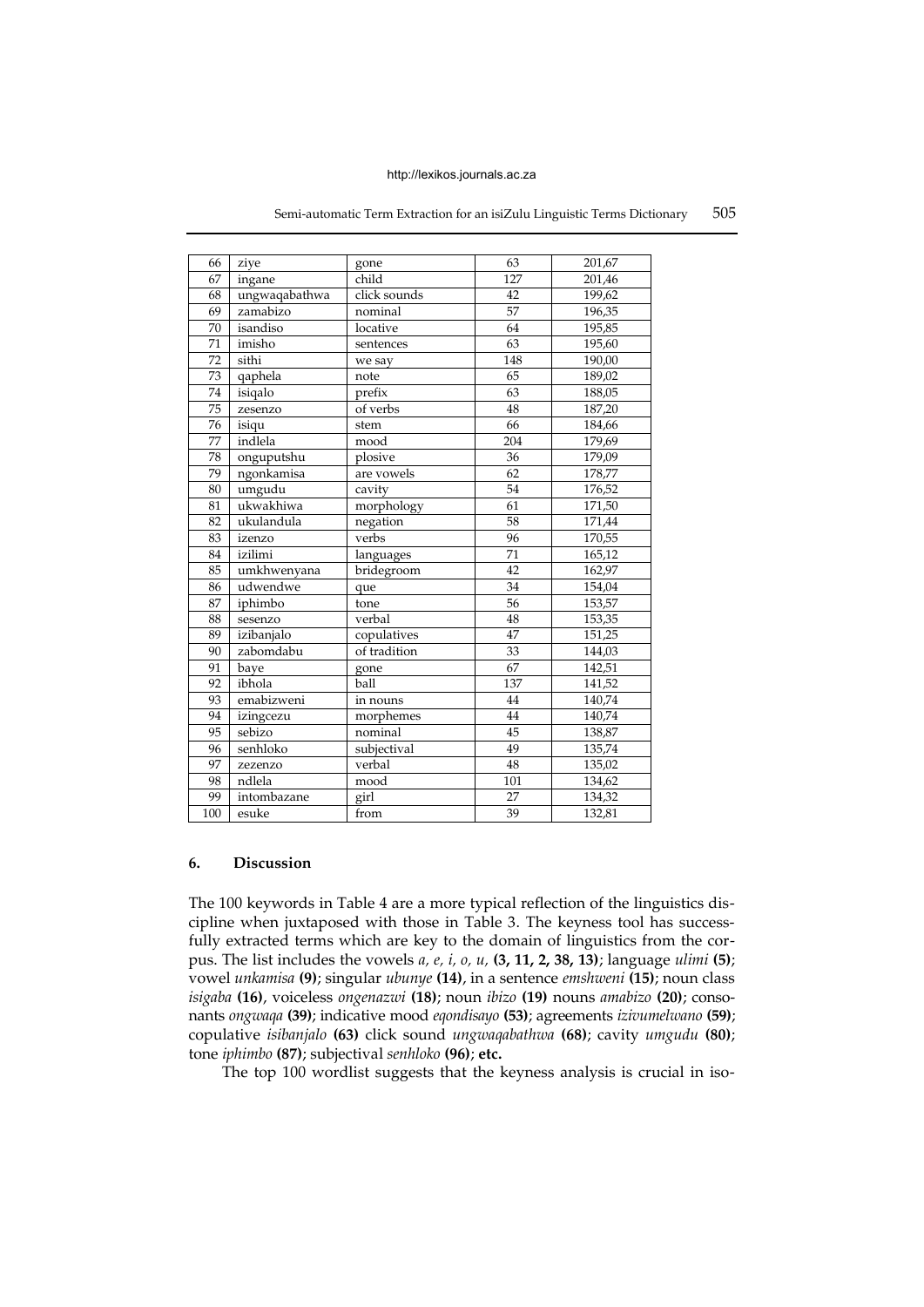| 66  | ziye          | gone         | 63              | 201,67 |
|-----|---------------|--------------|-----------------|--------|
| 67  | ingane        | child        | 127             | 201,46 |
| 68  | ungwaqabathwa | click sounds | 42              | 199,62 |
| 69  | zamabizo      | nominal      | 57              | 196,35 |
| 70  | isandiso      | locative     | 64              | 195,85 |
| 71  | imisho        | sentences    | 63              | 195,60 |
| 72  | sithi         | we say       | 148             | 190,00 |
| 73  | qaphela       | note         | 65              | 189,02 |
| 74  | isiqalo       | prefix       | 63              | 188,05 |
| 75  | zesenzo       | of verbs     | 48              | 187,20 |
| 76  | isiqu         | stem         | 66              | 184,66 |
| 77  | indlela       | mood         | 204             | 179,69 |
| 78  | onguputshu    | plosive      | 36              | 179,09 |
| 79  | ngonkamisa    | are vowels   | 62              | 178,77 |
| 80  | umgudu        | cavity       | 54              | 176,52 |
| 81  | ukwakhiwa     | morphology   | 61              | 171,50 |
| 82  | ukulandula    | negation     | $\overline{58}$ | 171,44 |
| 83  | izenzo        | verbs        | 96              | 170,55 |
| 84  | izilimi       | languages    | $\overline{71}$ | 165,12 |
| 85  | umkhwenyana   | bridegroom   | 42              | 162,97 |
| 86  | udwendwe      | que          | 34              | 154,04 |
| 87  | iphimbo       | tone         | 56              | 153,57 |
| 88  | sesenzo       | verbal       | 48              | 153,35 |
| 89  | izibanjalo    | copulatives  | 47              | 151,25 |
| 90  | zabomdabu     | of tradition | 33              | 144,03 |
| 91  | baye          | gone         | 67              | 142,51 |
| 92  | ibhola        | ball         | 137             | 141,52 |
| 93  | emabizweni    | in nouns     | 44              | 140,74 |
| 94  | izingcezu     | morphemes    | 44              | 140,74 |
| 95  | sebizo        | nominal      | 45              | 138,87 |
| 96  | senhloko      | subjectival  | 49              | 135,74 |
| 97  | zezenzo       | verbal       | 48              | 135,02 |
| 98  | ndlela        | mood         | 101             | 134,62 |
| 99  | intombazane   | girl         | 27              | 134,32 |
| 100 | esuke         | from         | 39              | 132,81 |

### Semi-automatic Term Extraction for an isiZulu Linguistic Terms Dictionary 505

# **6. Discussion**

The 100 keywords in Table 4 are a more typical reflection of the linguistics discipline when juxtaposed with those in Table 3. The keyness tool has successfully extracted terms which are key to the domain of linguistics from the corpus. The list includes the vowels *a, e, i, o, u,* **(3, 11, 2, 38, 13)**; language *ulimi* **(5)**; vowel *unkamisa* **(9)**; singular *ubunye* **(14)**, in a sentence *emshweni* **(15)**; noun class *isigaba* **(16)**, voiceless *ongenazwi* **(18)**; noun *ibizo* **(19)** nouns *amabizo* **(20)**; consonants *ongwaqa* **(39)**; indicative mood *eqondisayo* **(53)**; agreements *izivumelwano* **(59)**; copulative *isibanjalo* **(63)** click sound *ungwaqabathwa* **(68)**; cavity *umgudu* **(80)**; tone *iphimbo* **(87)**; subjectival *senhloko* **(96)**; **etc.**

The top 100 wordlist suggests that the keyness analysis is crucial in iso-